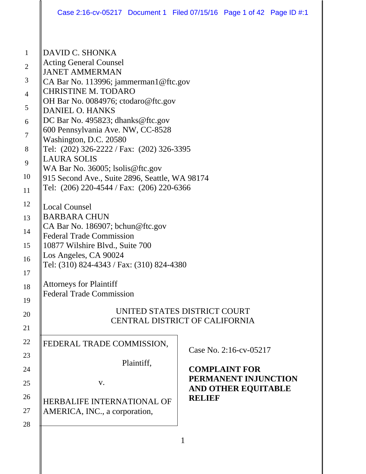|                | Case 2:16-cv-05217 Document 1 Filed 07/15/16 Page 1 of 42 Page ID #:1                      |               |                            |  |  |
|----------------|--------------------------------------------------------------------------------------------|---------------|----------------------------|--|--|
|                |                                                                                            |               |                            |  |  |
| $\mathbf{1}$   | DAVID C. SHONKA                                                                            |               |                            |  |  |
| $\mathbf{2}$   | <b>Acting General Counsel</b>                                                              |               |                            |  |  |
| 3              | <b>JANET AMMERMAN</b><br>CA Bar No. 113996; jammerman1@ftc.gov                             |               |                            |  |  |
| $\overline{4}$ | <b>CHRISTINE M. TODARO</b>                                                                 |               |                            |  |  |
| 5              | OH Bar No. 0084976; ctodaro@ftc.gov                                                        |               |                            |  |  |
| 6              | <b>DANIEL O. HANKS</b><br>DC Bar No. 495823; dhanks@ftc.gov                                |               |                            |  |  |
|                | 600 Pennsylvania Ave. NW, CC-8528                                                          |               |                            |  |  |
| $\tau$         | Washington, D.C. 20580                                                                     |               |                            |  |  |
| $8\phantom{1}$ | Tel: (202) 326-2222 / Fax: (202) 326-3395<br><b>LAURA SOLIS</b>                            |               |                            |  |  |
| 9              | WA Bar No. 36005; lsolis@ftc.gov                                                           |               |                            |  |  |
| 10             | 915 Second Ave., Suite 2896, Seattle, WA 98174                                             |               |                            |  |  |
| 11             | Tel: (206) 220-4544 / Fax: (206) 220-6366                                                  |               |                            |  |  |
| 12             | <b>Local Counsel</b>                                                                       |               |                            |  |  |
| 13             | <b>BARBARA CHUN</b><br>CA Bar No. 186907; bchun@ftc.gov<br><b>Federal Trade Commission</b> |               |                            |  |  |
| 14             |                                                                                            |               |                            |  |  |
| 15             |                                                                                            |               |                            |  |  |
|                | 10877 Wilshire Blvd., Suite 700<br>Los Angeles, CA 90024                                   |               |                            |  |  |
| 16             | Tel: (310) 824-4343 / Fax: (310) 824-4380                                                  |               |                            |  |  |
| 17             |                                                                                            |               |                            |  |  |
| 18             | <b>Attorneys for Plaintiff</b><br><b>Federal Trade Commission</b>                          |               |                            |  |  |
| 19             |                                                                                            |               |                            |  |  |
| 20             | UNITED STATES DISTRICT COURT<br><b>CENTRAL DISTRICT OF CALIFORNIA</b>                      |               |                            |  |  |
| 21             |                                                                                            |               |                            |  |  |
| 22             | FEDERAL TRADE COMMISSION,                                                                  |               |                            |  |  |
| 23             |                                                                                            |               | Case No. 2:16-cv-05217     |  |  |
| 24             | Plaintiff,                                                                                 |               | <b>COMPLAINT FOR</b>       |  |  |
| 25             | $V_{\bullet}$                                                                              |               | PERMANENT INJUNCTION       |  |  |
| 26             |                                                                                            | <b>RELIEF</b> | <b>AND OTHER EQUITABLE</b> |  |  |
|                | <b>HERBALIFE INTERNATIONAL OF</b>                                                          |               |                            |  |  |
| 27             | AMERICA, INC., a corporation,                                                              |               |                            |  |  |
| 28             |                                                                                            |               |                            |  |  |
|                |                                                                                            | 1             |                            |  |  |
|                |                                                                                            |               |                            |  |  |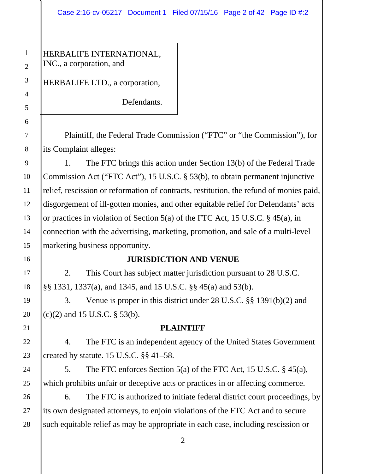HERBALIFE INTERNATIONAL, INC., a corporation, and

HERBALIFE LTD., a corporation,

Defendants.

Plaintiff, the Federal Trade Commission ("FTC" or "the Commission"), for its Complaint alleges:

1. The FTC brings this action under Section 13(b) of the Federal Trade Commission Act ("FTC Act"), 15 U.S.C. § 53(b), to obtain permanent injunctive relief, rescission or reformation of contracts, restitution, the refund of monies paid, disgorgement of ill-gotten monies, and other equitable relief for Defendants' acts or practices in violation of Section 5(a) of the FTC Act, 15 U.S.C. § 45(a), in connection with the advertising, marketing, promotion, and sale of a multi-level marketing business opportunity.

# **JURISDICTION AND VENUE**

2. This Court has subject matter jurisdiction pursuant to 28 U.S.C. §§ 1331, 1337(a), and 1345, and 15 U.S.C. §§ 45(a) and 53(b).

3. Venue is proper in this district under 28 U.S.C. §§ 1391(b)(2) and (c)(2) and 15 U.S.C. § 53(b).

# **PLAINTIFF**

4. The FTC is an independent agency of the United States Government created by statute. 15 U.S.C. §§ 41–58.

5. The FTC enforces Section 5(a) of the FTC Act, 15 U.S.C. § 45(a), which prohibits unfair or deceptive acts or practices in or affecting commerce.

6. The FTC is authorized to initiate federal district court proceedings, by its own designated attorneys, to enjoin violations of the FTC Act and to secure such equitable relief as may be appropriate in each case, including rescission or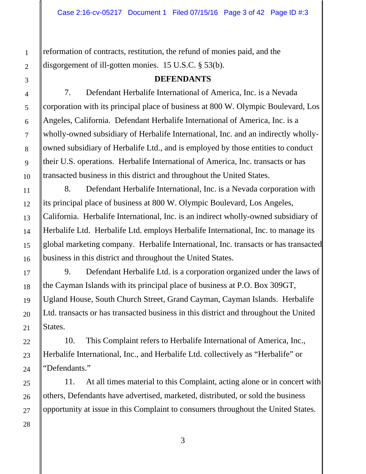reformation of contracts, restitution, the refund of monies paid, and the disgorgement of ill-gotten monies. 15 U.S.C. § 53(b).

#### **DEFENDANTS**

7. Defendant Herbalife International of America, Inc. is a Nevada corporation with its principal place of business at 800 W. Olympic Boulevard, Los Angeles, California. Defendant Herbalife International of America, Inc. is a wholly-owned subsidiary of Herbalife International, Inc. and an indirectly whollyowned subsidiary of Herbalife Ltd., and is employed by those entities to conduct their U.S. operations. Herbalife International of America, Inc. transacts or has transacted business in this district and throughout the United States.

8. Defendant Herbalife International, Inc. is a Nevada corporation with its principal place of business at 800 W. Olympic Boulevard, Los Angeles, California. Herbalife International, Inc. is an indirect wholly-owned subsidiary of Herbalife Ltd. Herbalife Ltd. employs Herbalife International, Inc. to manage its global marketing company. Herbalife International, Inc. transacts or has transacted business in this district and throughout the United States.

9. Defendant Herbalife Ltd. is a corporation organized under the laws of the Cayman Islands with its principal place of business at P.O. Box 309GT, Ugland House, South Church Street, Grand Cayman, Cayman Islands. Herbalife Ltd. transacts or has transacted business in this district and throughout the United States.

10. This Complaint refers to Herbalife International of America, Inc., Herbalife International, Inc., and Herbalife Ltd. collectively as "Herbalife" or "Defendants."

11. At all times material to this Complaint, acting alone or in concert with others, Defendants have advertised, marketed, distributed, or sold the business opportunity at issue in this Complaint to consumers throughout the United States.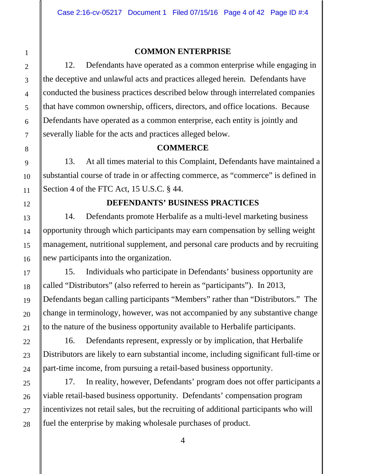# **COMMON ENTERPRISE**

12. Defendants have operated as a common enterprise while engaging in the deceptive and unlawful acts and practices alleged herein. Defendants have conducted the business practices described below through interrelated companies that have common ownership, officers, directors, and office locations. Because Defendants have operated as a common enterprise, each entity is jointly and severally liable for the acts and practices alleged below.

# **COMMERCE**

13. At all times material to this Complaint, Defendants have maintained a substantial course of trade in or affecting commerce, as "commerce" is defined in Section 4 of the FTC Act, 15 U.S.C. § 44.

# **DEFENDANTS' BUSINESS PRACTICES**

14. Defendants promote Herbalife as a multi-level marketing business opportunity through which participants may earn compensation by selling weight management, nutritional supplement, and personal care products and by recruiting new participants into the organization.

15. Individuals who participate in Defendants' business opportunity are called "Distributors" (also referred to herein as "participants"). In 2013, Defendants began calling participants "Members" rather than "Distributors." The change in terminology, however, was not accompanied by any substantive change to the nature of the business opportunity available to Herbalife participants.

16. Defendants represent, expressly or by implication, that Herbalife Distributors are likely to earn substantial income, including significant full-time or part-time income, from pursuing a retail-based business opportunity.

17. In reality, however, Defendants' program does not offer participants a viable retail-based business opportunity. Defendants' compensation program incentivizes not retail sales, but the recruiting of additional participants who will fuel the enterprise by making wholesale purchases of product.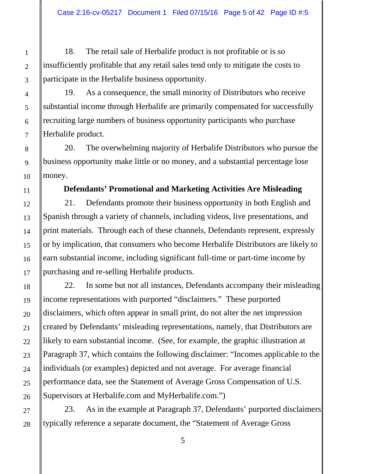18. The retail sale of Herbalife product is not profitable or is so insufficiently profitable that any retail sales tend only to mitigate the costs to participate in the Herbalife business opportunity.

19. As a consequence, the small minority of Distributors who receive substantial income through Herbalife are primarily compensated for successfully recruiting large numbers of business opportunity participants who purchase Herbalife product.

20. The overwhelming majority of Herbalife Distributors who pursue the business opportunity make little or no money, and a substantial percentage lose money.

### **Defendants' Promotional and Marketing Activities Are Misleading**

21. Defendants promote their business opportunity in both English and Spanish through a variety of channels, including videos, live presentations, and print materials. Through each of these channels, Defendants represent, expressly or by implication, that consumers who become Herbalife Distributors are likely to earn substantial income, including significant full-time or part-time income by purchasing and re-selling Herbalife products.

22. In some but not all instances, Defendants accompany their misleading income representations with purported "disclaimers." These purported disclaimers, which often appear in small print, do not alter the net impression created by Defendants' misleading representations, namely, that Distributors are likely to earn substantial income. (See, for example, the graphic illustration at Paragraph 37, which contains the following disclaimer: "Incomes applicable to the individuals (or examples) depicted and not average. For average financial performance data, see the Statement of Average Gross Compensation of U.S. Supervisors at Herbalife.com and MyHerbalife.com.")

23. As in the example at Paragraph 37, Defendants' purported disclaimers typically reference a separate document, the "Statement of Average Gross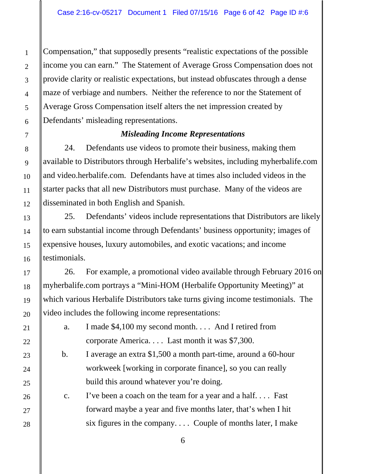Compensation," that supposedly presents "realistic expectations of the possible income you can earn." The Statement of Average Gross Compensation does not provide clarity or realistic expectations, but instead obfuscates through a dense maze of verbiage and numbers. Neither the reference to nor the Statement of Average Gross Compensation itself alters the net impression created by Defendants' misleading representations.

# *Misleading Income Representations*

24. Defendants use videos to promote their business, making them available to Distributors through Herbalife's websites, including myherbalife.com and video.herbalife.com. Defendants have at times also included videos in the starter packs that all new Distributors must purchase. Many of the videos are disseminated in both English and Spanish.

25. Defendants' videos include representations that Distributors are likely to earn substantial income through Defendants' business opportunity; images of expensive houses, luxury automobiles, and exotic vacations; and income testimonials.

26. For example, a promotional video available through February 2016 on myherbalife.com portrays a "Mini-HOM (Herbalife Opportunity Meeting)" at which various Herbalife Distributors take turns giving income testimonials. The video includes the following income representations:

 a. I made \$4,100 my second month. . . . And I retired from corporate America. . . . Last month it was \$7,300.

 b. I average an extra \$1,500 a month part-time, around a 60-hour workweek [working in corporate finance], so you can really build this around whatever you're doing.

 c. I've been a coach on the team for a year and a half. . . . Fast forward maybe a year and five months later, that's when I hit six figures in the company. . . . Couple of months later, I make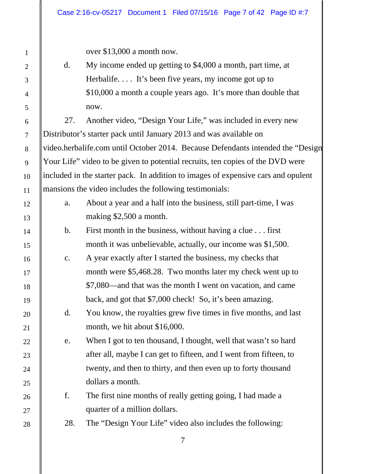over \$13,000 a month now.

 d. My income ended up getting to \$4,000 a month, part time, at Herbalife.... It's been five years, my income got up to \$10,000 a month a couple years ago. It's more than double that now.

27. Another video, "Design Your Life," was included in every new Distributor's starter pack until January 2013 and was available on video.herbalife.com until October 2014. Because Defendants intended the "Design Your Life" video to be given to potential recruits, ten copies of the DVD were included in the starter pack. In addition to images of expensive cars and opulent mansions the video includes the following testimonials:

- a. About a year and a half into the business, still part-time, I was making \$2,500 a month.
- b. First month in the business, without having a clue . . . first month it was unbelievable, actually, our income was \$1,500.
- c. A year exactly after I started the business, my checks that month were \$5,468.28. Two months later my check went up to \$7,080—and that was the month I went on vacation, and came back, and got that \$7,000 check! So, it's been amazing.
- d. You know, the royalties grew five times in five months, and last month, we hit about \$16,000.
- e. When I got to ten thousand, I thought, well that wasn't so hard after all, maybe I can get to fifteen, and I went from fifteen, to twenty, and then to thirty, and then even up to forty thousand dollars a month.
- f. The first nine months of really getting going, I had made a quarter of a million dollars.
- 28. The "Design Your Life" video also includes the following: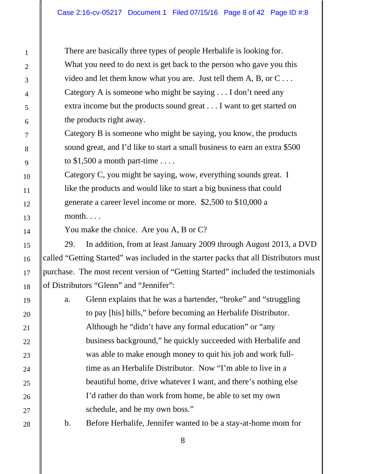There are basically three types of people Herbalife is looking for. What you need to do next is get back to the person who gave you this video and let them know what you are. Just tell them A, B, or  $C \ldots$ Category A is someone who might be saying . . . I don't need any extra income but the products sound great . . . I want to get started on the products right away.

Category B is someone who might be saying, you know, the products sound great, and I'd like to start a small business to earn an extra \$500 to  $$1,500$  a month part-time ....

Category C, you might be saying, wow, everything sounds great. I like the products and would like to start a big business that could generate a career level income or more. \$2,500 to \$10,000 a month. . . .

You make the choice. Are you A, B or C?

29. In addition, from at least January 2009 through August 2013, a DVD called "Getting Started" was included in the starter packs that all Distributors must purchase. The most recent version of "Getting Started" included the testimonials of Distributors "Glenn" and "Jennifer":

a. Glenn explains that he was a bartender, "broke" and "struggling to pay [his] bills," before becoming an Herbalife Distributor. Although he "didn't have any formal education" or "any business background," he quickly succeeded with Herbalife and was able to make enough money to quit his job and work fulltime as an Herbalife Distributor. Now "I'm able to live in a beautiful home, drive whatever I want, and there's nothing else I'd rather do than work from home, be able to set my own schedule, and be my own boss."

b. Before Herbalife, Jennifer wanted to be a stay-at-home mom for

1

2

3

4

5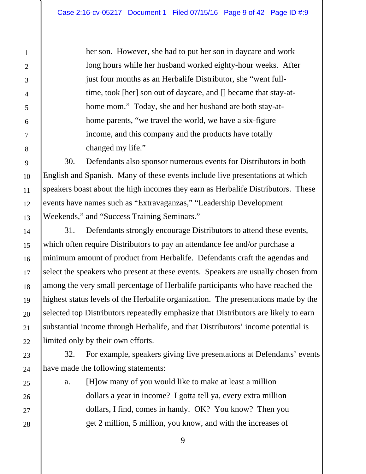her son. However, she had to put her son in daycare and work long hours while her husband worked eighty-hour weeks. After just four months as an Herbalife Distributor, she "went fulltime, took [her] son out of daycare, and [] became that stay-athome mom." Today, she and her husband are both stay-athome parents, "we travel the world, we have a six-figure income, and this company and the products have totally changed my life."

30. Defendants also sponsor numerous events for Distributors in both English and Spanish. Many of these events include live presentations at which speakers boast about the high incomes they earn as Herbalife Distributors. These events have names such as "Extravaganzas," "Leadership Development Weekends," and "Success Training Seminars."

31. Defendants strongly encourage Distributors to attend these events, which often require Distributors to pay an attendance fee and/or purchase a minimum amount of product from Herbalife. Defendants craft the agendas and select the speakers who present at these events. Speakers are usually chosen from among the very small percentage of Herbalife participants who have reached the highest status levels of the Herbalife organization. The presentations made by the selected top Distributors repeatedly emphasize that Distributors are likely to earn substantial income through Herbalife, and that Distributors' income potential is limited only by their own efforts.

32. For example, speakers giving live presentations at Defendants' events have made the following statements:

a. [H]ow many of you would like to make at least a million dollars a year in income? I gotta tell ya, every extra million dollars, I find, comes in handy. OK? You know? Then you get 2 million, 5 million, you know, and with the increases of

28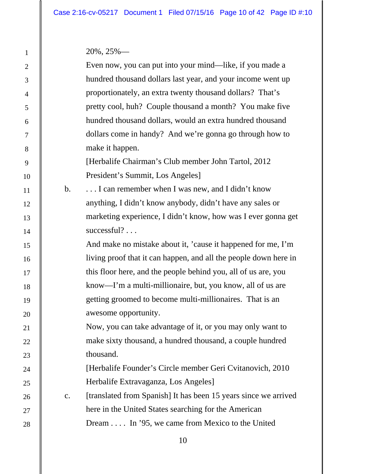20%, 25%—

|                | $20\%$ , $25\%$ —                                                |
|----------------|------------------------------------------------------------------|
|                | Even now, you can put into your mind—like, if you made a         |
|                | hundred thousand dollars last year, and your income went up      |
|                | proportionately, an extra twenty thousand dollars? That's        |
|                | pretty cool, huh? Couple thousand a month? You make five         |
|                | hundred thousand dollars, would an extra hundred thousand        |
|                | dollars come in handy? And we're gonna go through how to         |
|                | make it happen.                                                  |
|                | [Herbalife Chairman's Club member John Tartol, 2012]             |
|                | President's Summit, Los Angeles]                                 |
| $\mathbf b$ .  | I can remember when I was new, and I didn't know                 |
|                | anything, I didn't know anybody, didn't have any sales or        |
|                | marketing experience, I didn't know, how was I ever gonna get    |
|                | successful?                                                      |
|                | And make no mistake about it, 'cause it happened for me, I'm     |
|                | living proof that it can happen, and all the people down here in |
|                | this floor here, and the people behind you, all of us are, you   |
|                | know—I'm a multi-millionaire, but, you know, all of us are       |
|                | getting groomed to become multi-millionaires. That is an         |
|                | awesome opportunity.                                             |
|                | Now, you can take advantage of it, or you may only want to       |
|                | make sixty thousand, a hundred thousand, a couple hundred        |
|                | thousand.                                                        |
|                | [Herbalife Founder's Circle member Geri Cvitanovich, 2010]       |
|                | Herbalife Extravaganza, Los Angeles]                             |
| $\mathbf{c}$ . | [translated from Spanish] It has been 15 years since we arrived  |
|                | here in the United States searching for the American             |
|                | Dream In '95, we came from Mexico to the United                  |
|                |                                                                  |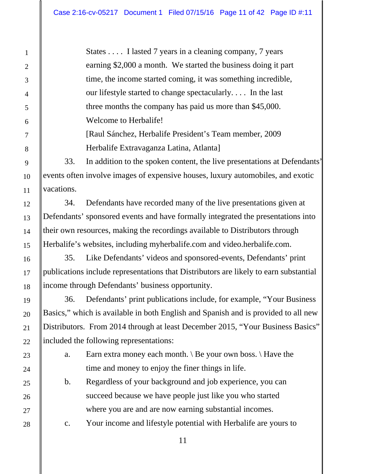States . . . . I lasted 7 years in a cleaning company, 7 years earning \$2,000 a month. We started the business doing it part time, the income started coming, it was something incredible, our lifestyle started to change spectacularly. . . . In the last three months the company has paid us more than \$45,000. Welcome to Herbalife!

[Raul Sánchez, Herbalife President's Team member, 2009 Herbalife Extravaganza Latina, Atlanta]

33. In addition to the spoken content, the live presentations at Defendants' events often involve images of expensive houses, luxury automobiles, and exotic vacations.

34. Defendants have recorded many of the live presentations given at Defendants' sponsored events and have formally integrated the presentations into their own resources, making the recordings available to Distributors through Herbalife's websites, including myherbalife.com and video.herbalife.com.

35. Like Defendants' videos and sponsored-events, Defendants' print publications include representations that Distributors are likely to earn substantial income through Defendants' business opportunity.

36. Defendants' print publications include, for example, "Your Business Basics," which is available in both English and Spanish and is provided to all new Distributors. From 2014 through at least December 2015, "Your Business Basics" included the following representations:

a. Earn extra money each month.  $\mathcal{B}$  Be your own boss.  $\mathcal{A}$  Have the time and money to enjoy the finer things in life.

b. Regardless of your background and job experience, you can succeed because we have people just like you who started where you are and are now earning substantial incomes.

c. Your income and lifestyle potential with Herbalife are yours to

28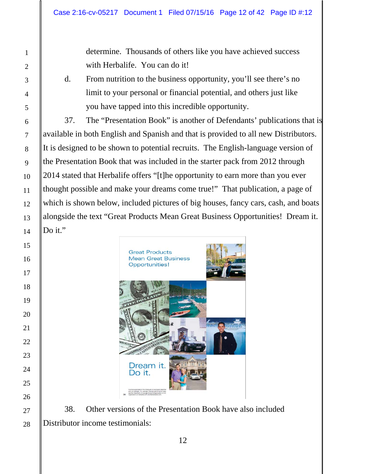determine. Thousands of others like you have achieved success with Herbalife. You can do it!

d. From nutrition to the business opportunity, you'll see there's no limit to your personal or financial potential, and others just like you have tapped into this incredible opportunity.

37. The "Presentation Book" is another of Defendants' publications that is available in both English and Spanish and that is provided to all new Distributors. It is designed to be shown to potential recruits. The English-language version of the Presentation Book that was included in the starter pack from 2012 through 2014 stated that Herbalife offers "[t]he opportunity to earn more than you ever thought possible and make your dreams come true!" That publication, a page of which is shown below, included pictures of big houses, fancy cars, cash, and boats alongside the text "Great Products Mean Great Business Opportunities! Dream it. Do it."



38. Other versions of the Presentation Book have also included Distributor income testimonials: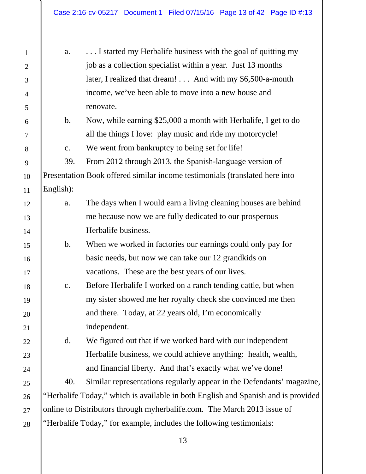| a.            | I started my Herbalife business with the goal of quitting my                      |
|---------------|-----------------------------------------------------------------------------------|
|               | job as a collection specialist within a year. Just 13 months                      |
|               | later, I realized that dream! And with my \$6,500-a-month                         |
|               | income, we've been able to move into a new house and                              |
|               | renovate.                                                                         |
| $\mathbf b$ . | Now, while earning \$25,000 a month with Herbalife, I get to do                   |
|               | all the things I love: play music and ride my motorcycle!                         |
| c.            | We went from bankruptcy to being set for life!                                    |
| 39.           | From 2012 through 2013, the Spanish-language version of                           |
|               | Presentation Book offered similar income testimonials (translated here into       |
| English):     |                                                                                   |
| a.            | The days when I would earn a living cleaning houses are behind                    |
|               | me because now we are fully dedicated to our prosperous                           |
|               | Herbalife business.                                                               |
| $\mathbf b$ . | When we worked in factories our earnings could only pay for                       |
|               | basic needs, but now we can take our 12 grandkids on                              |
|               | vacations. These are the best years of our lives.                                 |
| c.            | Before Herbalife I worked on a ranch tending cattle, but when                     |
|               | my sister showed me her royalty check she convinced me then                       |
|               | and there. Today, at 22 years old, I'm economically                               |
|               | independent.                                                                      |
| d.            | We figured out that if we worked hard with our independent                        |
|               | Herbalife business, we could achieve anything: health, wealth,                    |
|               | and financial liberty. And that's exactly what we've done!                        |
| 40.           | Similar representations regularly appear in the Defendants' magazine,             |
|               | "Herbalife Today," which is available in both English and Spanish and is provided |
|               | online to Distributors through myherbalife.com. The March 2013 issue of           |
|               | "Herbalife Today," for example, includes the following testimonials:              |
|               | 13                                                                                |

1

 $\parallel$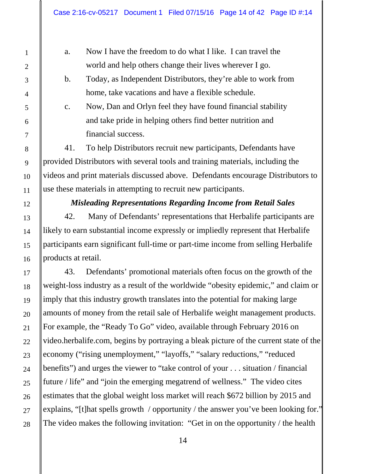a. Now I have the freedom to do what I like. I can travel the world and help others change their lives wherever I go.

b. Today, as Independent Distributors, they're able to work from home, take vacations and have a flexible schedule.

c. Now, Dan and Orlyn feel they have found financial stability and take pride in helping others find better nutrition and financial success.

41. To help Distributors recruit new participants, Defendants have provided Distributors with several tools and training materials, including the videos and print materials discussed above. Defendants encourage Distributors to use these materials in attempting to recruit new participants.

# *Misleading Representations Regarding Income from Retail Sales*

42. Many of Defendants' representations that Herbalife participants are likely to earn substantial income expressly or impliedly represent that Herbalife participants earn significant full-time or part-time income from selling Herbalife products at retail.

43. Defendants' promotional materials often focus on the growth of the weight-loss industry as a result of the worldwide "obesity epidemic," and claim or imply that this industry growth translates into the potential for making large amounts of money from the retail sale of Herbalife weight management products. For example, the "Ready To Go" video, available through February 2016 on video.herbalife.com, begins by portraying a bleak picture of the current state of the economy ("rising unemployment," "layoffs," "salary reductions," "reduced benefits") and urges the viewer to "take control of your . . . situation / financial future / life" and "join the emerging megatrend of wellness." The video cites estimates that the global weight loss market will reach \$672 billion by 2015 and explains, "[t]hat spells growth / opportunity / the answer you've been looking for." The video makes the following invitation: "Get in on the opportunity / the health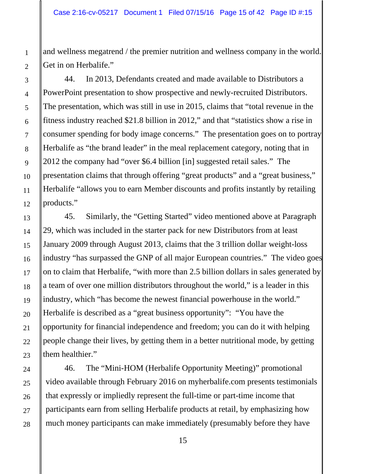and wellness megatrend / the premier nutrition and wellness company in the world. Get in on Herbalife."

44. In 2013, Defendants created and made available to Distributors a PowerPoint presentation to show prospective and newly-recruited Distributors. The presentation, which was still in use in 2015, claims that "total revenue in the fitness industry reached \$21.8 billion in 2012," and that "statistics show a rise in consumer spending for body image concerns." The presentation goes on to portray Herbalife as "the brand leader" in the meal replacement category, noting that in 2012 the company had "over \$6.4 billion [in] suggested retail sales." The presentation claims that through offering "great products" and a "great business," Herbalife "allows you to earn Member discounts and profits instantly by retailing products."

45. Similarly, the "Getting Started" video mentioned above at Paragraph 29, which was included in the starter pack for new Distributors from at least January 2009 through August 2013, claims that the 3 trillion dollar weight-loss industry "has surpassed the GNP of all major European countries." The video goes on to claim that Herbalife, "with more than 2.5 billion dollars in sales generated by a team of over one million distributors throughout the world," is a leader in this industry, which "has become the newest financial powerhouse in the world." Herbalife is described as a "great business opportunity": "You have the opportunity for financial independence and freedom; you can do it with helping people change their lives, by getting them in a better nutritional mode, by getting them healthier."

46. The "Mini-HOM (Herbalife Opportunity Meeting)" promotional video available through February 2016 on myherbalife.com presents testimonials that expressly or impliedly represent the full-time or part-time income that participants earn from selling Herbalife products at retail, by emphasizing how much money participants can make immediately (presumably before they have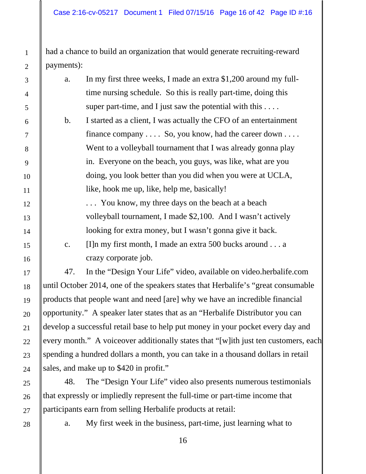had a chance to build an organization that would generate recruiting-reward payments):

| a.             | In my first three weeks, I made an extra \$1,200 around my full-  |
|----------------|-------------------------------------------------------------------|
|                | time nursing schedule. So this is really part-time, doing this    |
|                | super part-time, and I just saw the potential with this $\dots$ . |
| b.             | I started as a client, I was actually the CFO of an entertainment |
|                | finance company $\dots$ So, you know, had the career down $\dots$ |
|                | Went to a volleyball tournament that I was already gonna play     |
|                | in. Everyone on the beach, you guys, was like, what are you       |
|                | doing, you look better than you did when you were at UCLA,        |
|                | like, hook me up, like, help me, basically!                       |
|                | You know, my three days on the beach at a beach                   |
|                | volleyball tournament, I made \$2,100. And I wasn't actively      |
|                | looking for extra money, but I wasn't gonna give it back.         |
| $\mathbf{c}$ . | [I] n my first month, I made an extra 500 bucks around $\dots$ a  |
|                | crazy corporate job.                                              |
| 47.            | In the "Design Your Life" video, available on video.herbalife.com |

until October 2014, one of the speakers states that Herbalife's "great consumable products that people want and need [are] why we have an incredible financial opportunity." A speaker later states that as an "Herbalife Distributor you can develop a successful retail base to help put money in your pocket every day and every month." A voice over additionally states that "[w]ith just ten customers, each spending a hundred dollars a month, you can take in a thousand dollars in retail sales, and make up to \$420 in profit."

48. The "Design Your Life" video also presents numerous testimonials that expressly or impliedly represent the full-time or part-time income that participants earn from selling Herbalife products at retail:

28

1

2

3

4

5

6

7

8

9

10

11

12

13

14

15

16

17

18

19

20

21

22

23

24

25

26

27

a. My first week in the business, part-time, just learning what to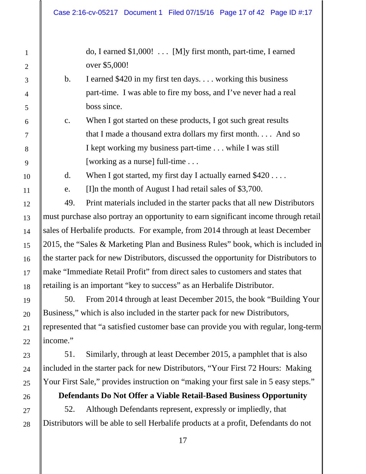do, I earned \$1,000! . . . [M]y first month, part-time, I earned over \$5,000!

- b. I earned \$420 in my first ten days. . . . working this business part-time. I was able to fire my boss, and I've never had a real boss since.
- c. When I got started on these products, I got such great results that I made a thousand extra dollars my first month. . . . And so I kept working my business part-time . . . while I was still [working as a nurse] full-time . . .

d. When I got started, my first day I actually earned  $$420...$ 

e. [I]n the month of August I had retail sales of \$3,700.

49. Print materials included in the starter packs that all new Distributors must purchase also portray an opportunity to earn significant income through retail sales of Herbalife products. For example, from 2014 through at least December 2015, the "Sales & Marketing Plan and Business Rules" book, which is included in the starter pack for new Distributors, discussed the opportunity for Distributors to make "Immediate Retail Profit" from direct sales to customers and states that retailing is an important "key to success" as an Herbalife Distributor.

50. From 2014 through at least December 2015, the book "Building Your Business," which is also included in the starter pack for new Distributors, represented that "a satisfied customer base can provide you with regular, long-term income."

51. Similarly, through at least December 2015, a pamphlet that is also included in the starter pack for new Distributors, "Your First 72 Hours: Making Your First Sale," provides instruction on "making your first sale in 5 easy steps."

# **Defendants Do Not Offer a Viable Retail-Based Business Opportunity**

52. Although Defendants represent, expressly or impliedly, that Distributors will be able to sell Herbalife products at a profit, Defendants do not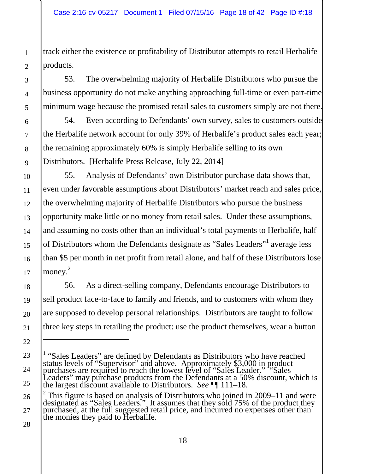track either the existence or profitability of Distributor attempts to retail Herbalife products.

53. The overwhelming majority of Herbalife Distributors who pursue the business opportunity do not make anything approaching full-time or even part-time minimum wage because the promised retail sales to customers simply are not there.

54. Even according to Defendants' own survey, sales to customers outside the Herbalife network account for only 39% of Herbalife's product sales each year; the remaining approximately 60% is simply Herbalife selling to its own Distributors. [Herbalife Press Release, July 22, 2014]

55. Analysis of Defendants' own Distributor purchase data shows that, even under favorable assumptions about Distributors' market reach and sales price, the overwhelming majority of Herbalife Distributors who pursue the business opportunity make little or no money from retail sales. Under these assumptions, and assuming no costs other than an individual's total payments to Herbalife, half of Distributors whom the Defendants designate as "Sales Leaders"<sup>1</sup> average less than \$5 per month in net profit from retail alone, and half of these Distributors lose money. 2

56. As a direct-selling company, Defendants encourage Distributors to sell product face-to-face to family and friends, and to customers with whom they are supposed to develop personal relationships. Distributors are taught to follow three key steps in retailing the product: use the product themselves, wear a button

 $\overline{a}$ 

<sup>&</sup>lt;sup>1</sup> "Sales Leaders" are defined by Defendants as Distributors who have reached status levels of "Supervisor" and above. Approximately \$3,000 in product purchases are required to reach the lowest level of "Sales Leader." "Sales Leaders" may purchase products from the Defendants at a 50% discount, which is the largest discount available to Distributors. *See* ¶¶ 111–18.

<sup>&</sup>lt;sup>2</sup> This figure is based on analysis of Distributors who joined in 2009–11 and were designated as "Sales Leaders." It assumes that they sold 75% of the product they purchased, at the full suggested retail price, and incurred no expenses other than the monies they paid to Herbalife.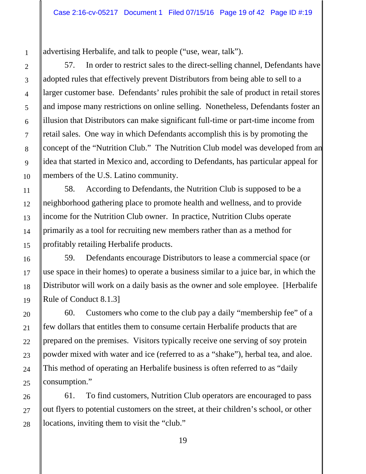advertising Herbalife, and talk to people ("use, wear, talk").

57. In order to restrict sales to the direct-selling channel, Defendants have adopted rules that effectively prevent Distributors from being able to sell to a larger customer base. Defendants' rules prohibit the sale of product in retail stores and impose many restrictions on online selling. Nonetheless, Defendants foster an illusion that Distributors can make significant full-time or part-time income from retail sales. One way in which Defendants accomplish this is by promoting the concept of the "Nutrition Club." The Nutrition Club model was developed from an idea that started in Mexico and, according to Defendants, has particular appeal for members of the U.S. Latino community.

58. According to Defendants, the Nutrition Club is supposed to be a neighborhood gathering place to promote health and wellness, and to provide income for the Nutrition Club owner. In practice, Nutrition Clubs operate primarily as a tool for recruiting new members rather than as a method for profitably retailing Herbalife products.

59. Defendants encourage Distributors to lease a commercial space (or use space in their homes) to operate a business similar to a juice bar, in which the Distributor will work on a daily basis as the owner and sole employee. [Herbalife Rule of Conduct 8.1.3]

60. Customers who come to the club pay a daily "membership fee" of a few dollars that entitles them to consume certain Herbalife products that are prepared on the premises. Visitors typically receive one serving of soy protein powder mixed with water and ice (referred to as a "shake"), herbal tea, and aloe. This method of operating an Herbalife business is often referred to as "daily consumption."

61. To find customers, Nutrition Club operators are encouraged to pass out flyers to potential customers on the street, at their children's school, or other locations, inviting them to visit the "club."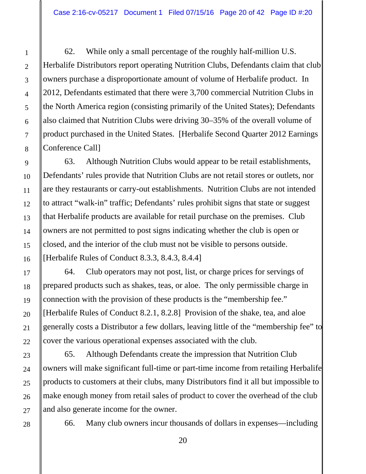62. While only a small percentage of the roughly half-million U.S. Herbalife Distributors report operating Nutrition Clubs, Defendants claim that club owners purchase a disproportionate amount of volume of Herbalife product. In 2012, Defendants estimated that there were 3,700 commercial Nutrition Clubs in the North America region (consisting primarily of the United States); Defendants also claimed that Nutrition Clubs were driving 30–35% of the overall volume of product purchased in the United States. [Herbalife Second Quarter 2012 Earnings Conference Call]

63. Although Nutrition Clubs would appear to be retail establishments, Defendants' rules provide that Nutrition Clubs are not retail stores or outlets, nor are they restaurants or carry-out establishments. Nutrition Clubs are not intended to attract "walk-in" traffic; Defendants' rules prohibit signs that state or suggest that Herbalife products are available for retail purchase on the premises. Club owners are not permitted to post signs indicating whether the club is open or closed, and the interior of the club must not be visible to persons outside. [Herbalife Rules of Conduct 8.3.3, 8.4.3, 8.4.4]

64. Club operators may not post, list, or charge prices for servings of prepared products such as shakes, teas, or aloe. The only permissible charge in connection with the provision of these products is the "membership fee." [Herbalife Rules of Conduct 8.2.1, 8.2.8] Provision of the shake, tea, and aloe generally costs a Distributor a few dollars, leaving little of the "membership fee" to cover the various operational expenses associated with the club.

65. Although Defendants create the impression that Nutrition Club owners will make significant full-time or part-time income from retailing Herbalife products to customers at their clubs, many Distributors find it all but impossible to make enough money from retail sales of product to cover the overhead of the club and also generate income for the owner.

66. Many club owners incur thousands of dollars in expenses—including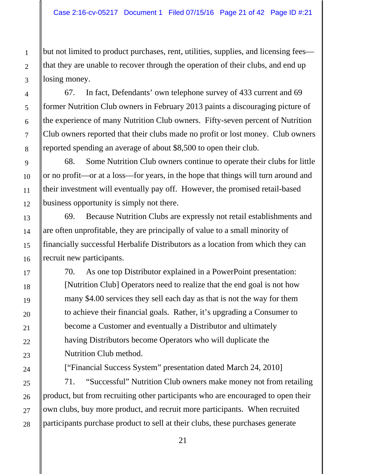but not limited to product purchases, rent, utilities, supplies, and licensing fees that they are unable to recover through the operation of their clubs, and end up losing money.

67. In fact, Defendants' own telephone survey of 433 current and 69 former Nutrition Club owners in February 2013 paints a discouraging picture of the experience of many Nutrition Club owners. Fifty-seven percent of Nutrition Club owners reported that their clubs made no profit or lost money. Club owners reported spending an average of about \$8,500 to open their club.

68. Some Nutrition Club owners continue to operate their clubs for little or no profit—or at a loss—for years, in the hope that things will turn around and their investment will eventually pay off. However, the promised retail-based business opportunity is simply not there.

69. Because Nutrition Clubs are expressly not retail establishments and are often unprofitable, they are principally of value to a small minority of financially successful Herbalife Distributors as a location from which they can recruit new participants.

70. As one top Distributor explained in a PowerPoint presentation: [Nutrition Club] Operators need to realize that the end goal is not how many \$4.00 services they sell each day as that is not the way for them to achieve their financial goals. Rather, it's upgrading a Consumer to become a Customer and eventually a Distributor and ultimately having Distributors become Operators who will duplicate the Nutrition Club method.

["Financial Success System" presentation dated March 24, 2010]

71. "Successful" Nutrition Club owners make money not from retailing product, but from recruiting other participants who are encouraged to open their own clubs, buy more product, and recruit more participants. When recruited participants purchase product to sell at their clubs, these purchases generate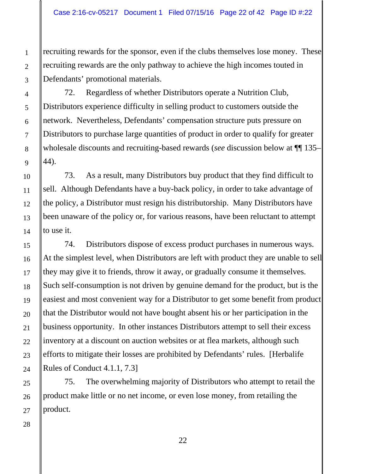recruiting rewards for the sponsor, even if the clubs themselves lose money. These recruiting rewards are the only pathway to achieve the high incomes touted in Defendants' promotional materials.

72. Regardless of whether Distributors operate a Nutrition Club, Distributors experience difficulty in selling product to customers outside the network. Nevertheless, Defendants' compensation structure puts pressure on Distributors to purchase large quantities of product in order to qualify for greater wholesale discounts and recruiting-based rewards (*see* discussion below at ¶¶ 135– 44).

73. As a result, many Distributors buy product that they find difficult to sell. Although Defendants have a buy-back policy, in order to take advantage of the policy, a Distributor must resign his distributorship. Many Distributors have been unaware of the policy or, for various reasons, have been reluctant to attempt to use it.

74. Distributors dispose of excess product purchases in numerous ways. At the simplest level, when Distributors are left with product they are unable to sell they may give it to friends, throw it away, or gradually consume it themselves. Such self-consumption is not driven by genuine demand for the product, but is the easiest and most convenient way for a Distributor to get some benefit from product that the Distributor would not have bought absent his or her participation in the business opportunity. In other instances Distributors attempt to sell their excess inventory at a discount on auction websites or at flea markets, although such efforts to mitigate their losses are prohibited by Defendants' rules. [Herbalife Rules of Conduct 4.1.1, 7.3]

75. The overwhelming majority of Distributors who attempt to retail the product make little or no net income, or even lose money, from retailing the product.

1

2

3

4

5

6

7

8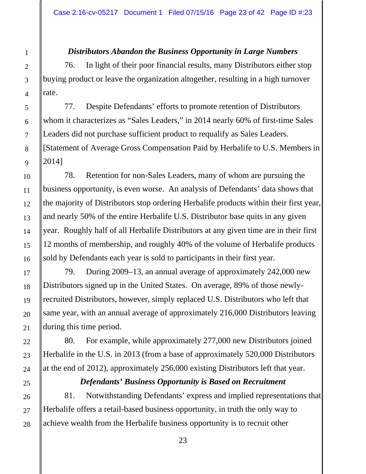# *Distributors Abandon the Business Opportunity in Large Numbers*

76. In light of their poor financial results, many Distributors either stop buying product or leave the organization altogether, resulting in a high turnover rate.

77. Despite Defendants' efforts to promote retention of Distributors whom it characterizes as "Sales Leaders," in 2014 nearly 60% of first-time Sales Leaders did not purchase sufficient product to requalify as Sales Leaders. [Statement of Average Gross Compensation Paid by Herbalife to U.S. Members in 2014]

78. Retention for non-Sales Leaders, many of whom are pursuing the business opportunity, is even worse. An analysis of Defendants' data shows that the majority of Distributors stop ordering Herbalife products within their first year, and nearly 50% of the entire Herbalife U.S. Distributor base quits in any given year. Roughly half of all Herbalife Distributors at any given time are in their first 12 months of membership, and roughly 40% of the volume of Herbalife products sold by Defendants each year is sold to participants in their first year.

79. During 2009–13, an annual average of approximately 242,000 new Distributors signed up in the United States. On average, 89% of those newlyrecruited Distributors, however, simply replaced U.S. Distributors who left that same year, with an annual average of approximately 216,000 Distributors leaving during this time period.

80. For example, while approximately 277,000 new Distributors joined Herbalife in the U.S. in 2013 (from a base of approximately 520,000 Distributors at the end of 2012), approximately 256,000 existing Distributors left that year.

### *Defendants' Business Opportunity is Based on Recruitment*

81. Notwithstanding Defendants' express and implied representations that Herbalife offers a retail-based business opportunity, in truth the only way to achieve wealth from the Herbalife business opportunity is to recruit other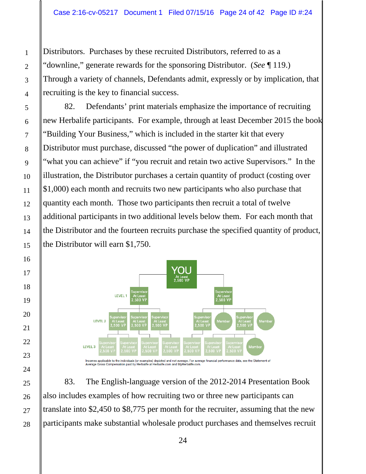Distributors. Purchases by these recruited Distributors, referred to as a "downline," generate rewards for the sponsoring Distributor. (*See* ¶ 119.) Through a variety of channels, Defendants admit, expressly or by implication, that recruiting is the key to financial success.

82. Defendants' print materials emphasize the importance of recruiting new Herbalife participants. For example, through at least December 2015 the book "Building Your Business," which is included in the starter kit that every Distributor must purchase, discussed "the power of duplication" and illustrated "what you can achieve" if "you recruit and retain two active Supervisors." In the illustration, the Distributor purchases a certain quantity of product (costing over \$1,000) each month and recruits two new participants who also purchase that quantity each month. Those two participants then recruit a total of twelve additional participants in two additional levels below them. For each month that the Distributor and the fourteen recruits purchase the specified quantity of product, the Distributor will earn \$1,750.



83. The English-language version of the 2012-2014 Presentation Book also includes examples of how recruiting two or three new participants can translate into \$2,450 to \$8,775 per month for the recruiter, assuming that the new participants make substantial wholesale product purchases and themselves recruit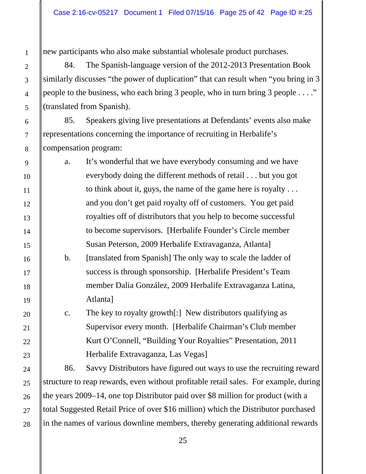new participants who also make substantial wholesale product purchases.

1

2

3

4

5

6

7

8

9

10

11

12

13

14

15

16

17

18

19

20

21

22

23

24

25

26

27

28

84. The Spanish-language version of the 2012-2013 Presentation Book similarly discusses "the power of duplication" that can result when "you bring in 3 people to the business, who each bring 3 people, who in turn bring 3 people . . . ." (translated from Spanish).

85. Speakers giving live presentations at Defendants' events also make representations concerning the importance of recruiting in Herbalife's compensation program:

a. It's wonderful that we have everybody consuming and we have everybody doing the different methods of retail . . . but you got to think about it, guys, the name of the game here is royalty . . . and you don't get paid royalty off of customers. You get paid royalties off of distributors that you help to become successful to become supervisors. [Herbalife Founder's Circle member Susan Peterson, 2009 Herbalife Extravaganza, Atlanta]

b. [translated from Spanish] The only way to scale the ladder of success is through sponsorship. [Herbalife President's Team member Dalia González, 2009 Herbalife Extravaganza Latina, Atlanta]

c. The key to royalty growth[:] New distributors qualifying as Supervisor every month. [Herbalife Chairman's Club member Kurt O'Connell, "Building Your Royalties" Presentation, 2011 Herbalife Extravaganza, Las Vegas]

86. Savvy Distributors have figured out ways to use the recruiting reward structure to reap rewards, even without profitable retail sales. For example, during the years 2009–14, one top Distributor paid over \$8 million for product (with a total Suggested Retail Price of over \$16 million) which the Distributor purchased in the names of various downline members, thereby generating additional rewards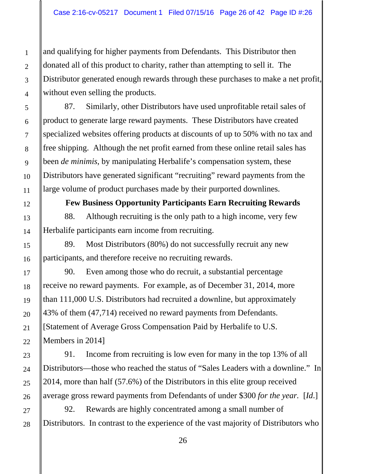and qualifying for higher payments from Defendants. This Distributor then donated all of this product to charity, rather than attempting to sell it. The Distributor generated enough rewards through these purchases to make a net profit, without even selling the products.

87. Similarly, other Distributors have used unprofitable retail sales of product to generate large reward payments. These Distributors have created specialized websites offering products at discounts of up to 50% with no tax and free shipping. Although the net profit earned from these online retail sales has been *de minimis*, by manipulating Herbalife's compensation system, these Distributors have generated significant "recruiting" reward payments from the large volume of product purchases made by their purported downlines.

**Few Business Opportunity Participants Earn Recruiting Rewards** 88. Although recruiting is the only path to a high income, very few

89. Most Distributors (80%) do not successfully recruit any new participants, and therefore receive no recruiting rewards.

Herbalife participants earn income from recruiting.

90. Even among those who do recruit, a substantial percentage receive no reward payments. For example, as of December 31, 2014, more than 111,000 U.S. Distributors had recruited a downline, but approximately 43% of them (47,714) received no reward payments from Defendants. [Statement of Average Gross Compensation Paid by Herbalife to U.S. Members in 2014]

91. Income from recruiting is low even for many in the top 13% of all Distributors—those who reached the status of "Sales Leaders with a downline." In 2014, more than half (57.6%) of the Distributors in this elite group received average gross reward payments from Defendants of under \$300 *for the year.* [*Id*.]

92. Rewards are highly concentrated among a small number of Distributors. In contrast to the experience of the vast majority of Distributors who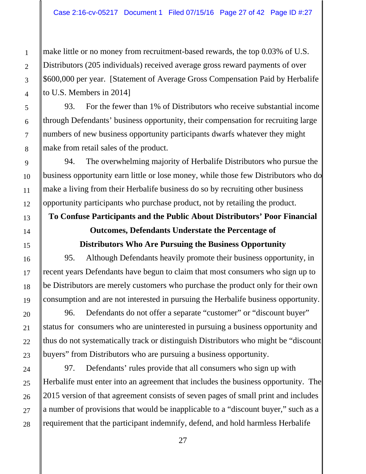make little or no money from recruitment-based rewards, the top 0.03% of U.S. Distributors (205 individuals) received average gross reward payments of over \$600,000 per year. [Statement of Average Gross Compensation Paid by Herbalife to U.S. Members in 2014]

93. For the fewer than 1% of Distributors who receive substantial income through Defendants' business opportunity, their compensation for recruiting large numbers of new business opportunity participants dwarfs whatever they might make from retail sales of the product.

94. The overwhelming majority of Herbalife Distributors who pursue the business opportunity earn little or lose money, while those few Distributors who do make a living from their Herbalife business do so by recruiting other business opportunity participants who purchase product, not by retailing the product.

# **To Confuse Participants and the Public About Distributors' Poor Financial Outcomes, Defendants Understate the Percentage of**

# **Distributors Who Are Pursuing the Business Opportunity**

95. Although Defendants heavily promote their business opportunity, in recent years Defendants have begun to claim that most consumers who sign up to be Distributors are merely customers who purchase the product only for their own consumption and are not interested in pursuing the Herbalife business opportunity.

96. Defendants do not offer a separate "customer" or "discount buyer" status for consumers who are uninterested in pursuing a business opportunity and thus do not systematically track or distinguish Distributors who might be "discount buyers" from Distributors who are pursuing a business opportunity.

97. Defendants' rules provide that all consumers who sign up with Herbalife must enter into an agreement that includes the business opportunity. The 2015 version of that agreement consists of seven pages of small print and includes a number of provisions that would be inapplicable to a "discount buyer," such as a requirement that the participant indemnify, defend, and hold harmless Herbalife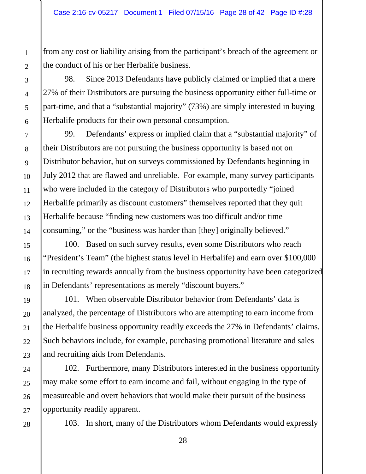from any cost or liability arising from the participant's breach of the agreement or the conduct of his or her Herbalife business.

98. Since 2013 Defendants have publicly claimed or implied that a mere 27% of their Distributors are pursuing the business opportunity either full-time or part-time, and that a "substantial majority" (73%) are simply interested in buying Herbalife products for their own personal consumption.

99. Defendants' express or implied claim that a "substantial majority" of their Distributors are not pursuing the business opportunity is based not on Distributor behavior, but on surveys commissioned by Defendants beginning in July 2012 that are flawed and unreliable. For example, many survey participants who were included in the category of Distributors who purportedly "joined Herbalife primarily as discount customers" themselves reported that they quit Herbalife because "finding new customers was too difficult and/or time consuming," or the "business was harder than [they] originally believed."

100. Based on such survey results, even some Distributors who reach "President's Team" (the highest status level in Herbalife) and earn over \$100,000 in recruiting rewards annually from the business opportunity have been categorized in Defendants' representations as merely "discount buyers."

101. When observable Distributor behavior from Defendants' data is analyzed, the percentage of Distributors who are attempting to earn income from the Herbalife business opportunity readily exceeds the 27% in Defendants' claims. Such behaviors include, for example, purchasing promotional literature and sales and recruiting aids from Defendants.

102. Furthermore, many Distributors interested in the business opportunity may make some effort to earn income and fail, without engaging in the type of measureable and overt behaviors that would make their pursuit of the business opportunity readily apparent.

103. In short, many of the Distributors whom Defendants would expressly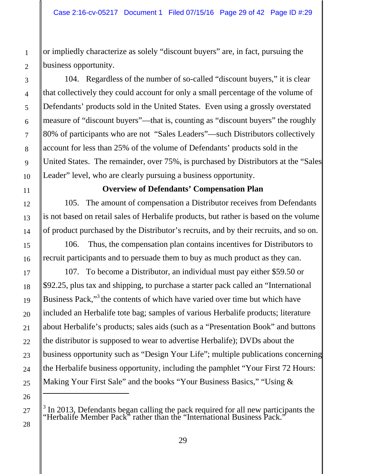or impliedly characterize as solely "discount buyers" are, in fact, pursuing the business opportunity.

104. Regardless of the number of so-called "discount buyers," it is clear that collectively they could account for only a small percentage of the volume of Defendants' products sold in the United States. Even using a grossly overstated measure of "discount buyers"—that is, counting as "discount buyers" the roughly 80% of participants who are not "Sales Leaders"—such Distributors collectively account for less than 25% of the volume of Defendants' products sold in the United States. The remainder, over 75%, is purchased by Distributors at the "Sales Leader" level, who are clearly pursuing a business opportunity.

## **Overview of Defendants' Compensation Plan**

105. The amount of compensation a Distributor receives from Defendants is not based on retail sales of Herbalife products, but rather is based on the volume of product purchased by the Distributor's recruits, and by their recruits, and so on.

106. Thus, the compensation plan contains incentives for Distributors to recruit participants and to persuade them to buy as much product as they can.

107. To become a Distributor, an individual must pay either \$59.50 or \$92.25, plus tax and shipping, to purchase a starter pack called an "International Business Pack,"<sup>3</sup> the contents of which have varied over time but which have included an Herbalife tote bag; samples of various Herbalife products; literature about Herbalife's products; sales aids (such as a "Presentation Book" and buttons the distributor is supposed to wear to advertise Herbalife); DVDs about the business opportunity such as "Design Your Life"; multiple publications concerning the Herbalife business opportunity, including the pamphlet "Your First 72 Hours: Making Your First Sale" and the books "Your Business Basics," "Using &

 $\overline{a}$ 

 $3$  In 2013, Defendants began calling the pack required for all new participants the "Herbalife Member Pack" rather than the "International Business Pack."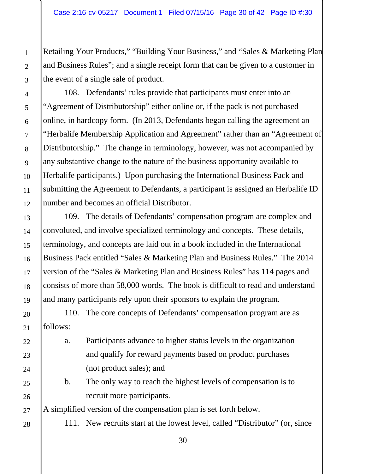Retailing Your Products," "Building Your Business," and "Sales & Marketing Plan and Business Rules"; and a single receipt form that can be given to a customer in the event of a single sale of product.

108. Defendants' rules provide that participants must enter into an "Agreement of Distributorship" either online or, if the pack is not purchased online, in hardcopy form. (In 2013, Defendants began calling the agreement an "Herbalife Membership Application and Agreement" rather than an "Agreement of Distributorship." The change in terminology, however, was not accompanied by any substantive change to the nature of the business opportunity available to Herbalife participants.) Upon purchasing the International Business Pack and submitting the Agreement to Defendants, a participant is assigned an Herbalife ID number and becomes an official Distributor.

109. The details of Defendants' compensation program are complex and convoluted, and involve specialized terminology and concepts. These details, terminology, and concepts are laid out in a book included in the International Business Pack entitled "Sales & Marketing Plan and Business Rules." The 2014 version of the "Sales & Marketing Plan and Business Rules" has 114 pages and consists of more than 58,000 words. The book is difficult to read and understand and many participants rely upon their sponsors to explain the program.

110. The core concepts of Defendants' compensation program are as follows:

- a. Participants advance to higher status levels in the organization and qualify for reward payments based on product purchases (not product sales); and
	- b. The only way to reach the highest levels of compensation is to recruit more participants.

A simplified version of the compensation plan is set forth below.

111. New recruits start at the lowest level, called "Distributor" (or, since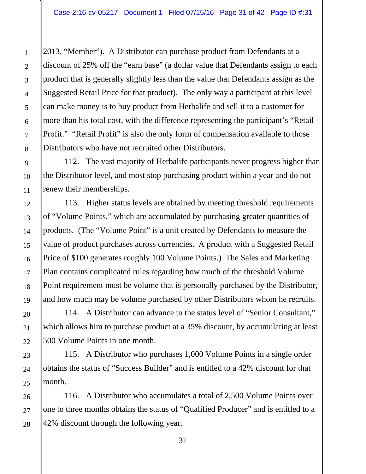2013, "Member"). A Distributor can purchase product from Defendants at a discount of 25% off the "earn base" (a dollar value that Defendants assign to each product that is generally slightly less than the value that Defendants assign as the Suggested Retail Price for that product). The only way a participant at this level can make money is to buy product from Herbalife and sell it to a customer for more than his total cost, with the difference representing the participant's "Retail Profit." "Retail Profit" is also the only form of compensation available to those Distributors who have not recruited other Distributors.

112. The vast majority of Herbalife participants never progress higher than the Distributor level, and most stop purchasing product within a year and do not renew their memberships.

113. Higher status levels are obtained by meeting threshold requirements of "Volume Points," which are accumulated by purchasing greater quantities of products. (The "Volume Point" is a unit created by Defendants to measure the value of product purchases across currencies. A product with a Suggested Retail Price of \$100 generates roughly 100 Volume Points.) The Sales and Marketing Plan contains complicated rules regarding how much of the threshold Volume Point requirement must be volume that is personally purchased by the Distributor, and how much may be volume purchased by other Distributors whom he recruits.

114. A Distributor can advance to the status level of "Senior Consultant," which allows him to purchase product at a 35% discount, by accumulating at least 500 Volume Points in one month.

115. A Distributor who purchases 1,000 Volume Points in a single order obtains the status of "Success Builder" and is entitled to a 42% discount for that month.

116. A Distributor who accumulates a total of 2,500 Volume Points over one to three months obtains the status of "Qualified Producer" and is entitled to a 42% discount through the following year.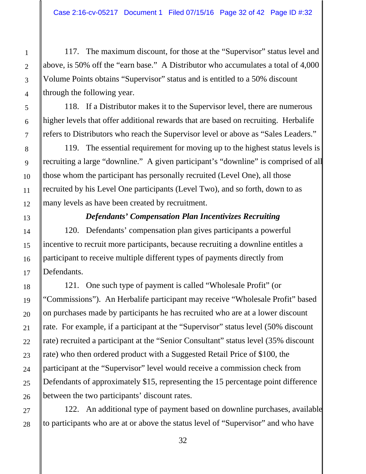117. The maximum discount, for those at the "Supervisor" status level and above, is 50% off the "earn base." A Distributor who accumulates a total of 4,000 Volume Points obtains "Supervisor" status and is entitled to a 50% discount through the following year.

118. If a Distributor makes it to the Supervisor level, there are numerous higher levels that offer additional rewards that are based on recruiting. Herbalife refers to Distributors who reach the Supervisor level or above as "Sales Leaders."

119. The essential requirement for moving up to the highest status levels is recruiting a large "downline." A given participant's "downline" is comprised of all those whom the participant has personally recruited (Level One), all those recruited by his Level One participants (Level Two), and so forth, down to as many levels as have been created by recruitment.

#### *Defendants' Compensation Plan Incentivizes Recruiting*

120. Defendants' compensation plan gives participants a powerful incentive to recruit more participants, because recruiting a downline entitles a participant to receive multiple different types of payments directly from Defendants.

121. One such type of payment is called "Wholesale Profit" (or "Commissions"). An Herbalife participant may receive "Wholesale Profit" based on purchases made by participants he has recruited who are at a lower discount rate. For example, if a participant at the "Supervisor" status level (50% discount rate) recruited a participant at the "Senior Consultant" status level (35% discount rate) who then ordered product with a Suggested Retail Price of \$100, the participant at the "Supervisor" level would receive a commission check from Defendants of approximately \$15, representing the 15 percentage point difference between the two participants' discount rates.

122. An additional type of payment based on downline purchases, available to participants who are at or above the status level of "Supervisor" and who have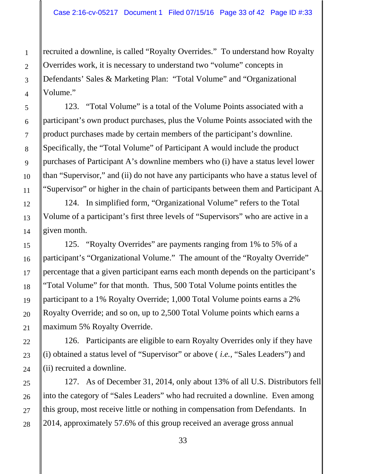recruited a downline, is called "Royalty Overrides." To understand how Royalty Overrides work, it is necessary to understand two "volume" concepts in Defendants' Sales & Marketing Plan: "Total Volume" and "Organizational Volume."

123. "Total Volume" is a total of the Volume Points associated with a participant's own product purchases, plus the Volume Points associated with the product purchases made by certain members of the participant's downline. Specifically, the "Total Volume" of Participant A would include the product purchases of Participant A's downline members who (i) have a status level lower than "Supervisor," and (ii) do not have any participants who have a status level of "Supervisor" or higher in the chain of participants between them and Participant A.

124. In simplified form, "Organizational Volume" refers to the Total Volume of a participant's first three levels of "Supervisors" who are active in a given month.

125. "Royalty Overrides" are payments ranging from 1% to 5% of a participant's "Organizational Volume." The amount of the "Royalty Override" percentage that a given participant earns each month depends on the participant's "Total Volume" for that month. Thus, 500 Total Volume points entitles the participant to a 1% Royalty Override; 1,000 Total Volume points earns a 2% Royalty Override; and so on, up to 2,500 Total Volume points which earns a maximum 5% Royalty Override.

126. Participants are eligible to earn Royalty Overrides only if they have (i) obtained a status level of "Supervisor" or above ( *i.e.,* "Sales Leaders") and (ii) recruited a downline.

127. As of December 31, 2014, only about 13% of all U.S. Distributors fell into the category of "Sales Leaders" who had recruited a downline. Even among this group, most receive little or nothing in compensation from Defendants. In 2014, approximately 57.6% of this group received an average gross annual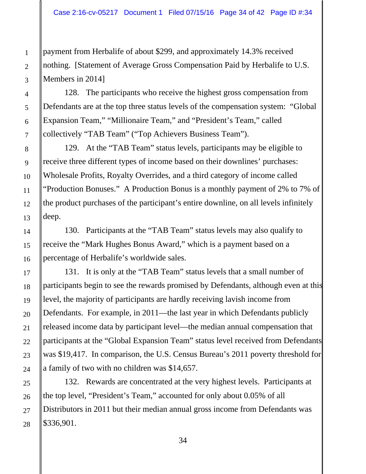payment from Herbalife of about \$299, and approximately 14.3% received nothing. [Statement of Average Gross Compensation Paid by Herbalife to U.S. Members in 2014]

128. The participants who receive the highest gross compensation from Defendants are at the top three status levels of the compensation system: "Global Expansion Team," "Millionaire Team," and "President's Team," called collectively "TAB Team" ("Top Achievers Business Team").

129. At the "TAB Team" status levels, participants may be eligible to receive three different types of income based on their downlines' purchases: Wholesale Profits, Royalty Overrides, and a third category of income called "Production Bonuses." A Production Bonus is a monthly payment of 2% to 7% of the product purchases of the participant's entire downline, on all levels infinitely deep.

130. Participants at the "TAB Team" status levels may also qualify to receive the "Mark Hughes Bonus Award," which is a payment based on a percentage of Herbalife's worldwide sales.

131. It is only at the "TAB Team" status levels that a small number of participants begin to see the rewards promised by Defendants, although even at this level, the majority of participants are hardly receiving lavish income from Defendants. For example, in 2011—the last year in which Defendants publicly released income data by participant level—the median annual compensation that participants at the "Global Expansion Team" status level received from Defendants was \$19,417. In comparison, the U.S. Census Bureau's 2011 poverty threshold for a family of two with no children was \$14,657.

132. Rewards are concentrated at the very highest levels. Participants at the top level, "President's Team," accounted for only about 0.05% of all Distributors in 2011 but their median annual gross income from Defendants was \$336,901.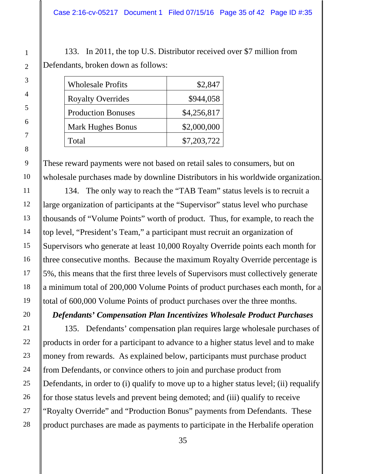133. In 2011, the top U.S. Distributor received over \$7 million from Defendants, broken down as follows:

| <b>Wholesale Profits</b>  | \$2,847     |
|---------------------------|-------------|
| <b>Royalty Overrides</b>  | \$944,058   |
| <b>Production Bonuses</b> | \$4,256,817 |
| <b>Mark Hughes Bonus</b>  | \$2,000,000 |
| Total                     | \$7,203,722 |

These reward payments were not based on retail sales to consumers, but on wholesale purchases made by downline Distributors in his worldwide organization.

134. The only way to reach the "TAB Team" status levels is to recruit a large organization of participants at the "Supervisor" status level who purchase thousands of "Volume Points" worth of product. Thus, for example, to reach the top level, "President's Team," a participant must recruit an organization of Supervisors who generate at least 10,000 Royalty Override points each month for three consecutive months. Because the maximum Royalty Override percentage is 5%, this means that the first three levels of Supervisors must collectively generate a minimum total of 200,000 Volume Points of product purchases each month, for a total of 600,000 Volume Points of product purchases over the three months.

*Defendants' Compensation Plan Incentivizes Wholesale Product Purchases* 

135. Defendants' compensation plan requires large wholesale purchases of products in order for a participant to advance to a higher status level and to make money from rewards. As explained below, participants must purchase product from Defendants, or convince others to join and purchase product from Defendants, in order to (i) qualify to move up to a higher status level; (ii) requalify for those status levels and prevent being demoted; and (iii) qualify to receive "Royalty Override" and "Production Bonus" payments from Defendants. These product purchases are made as payments to participate in the Herbalife operation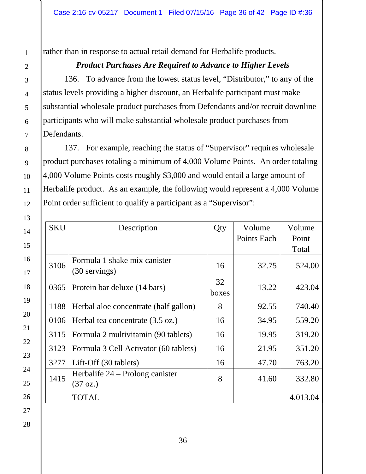rather than in response to actual retail demand for Herbalife products.

# *Product Purchases Are Required to Advance to Higher Levels*

136. To advance from the lowest status level, "Distributor," to any of the status levels providing a higher discount, an Herbalife participant must make substantial wholesale product purchases from Defendants and/or recruit downline participants who will make substantial wholesale product purchases from Defendants.

137. For example, reaching the status of "Supervisor" requires wholesale product purchases totaling a minimum of 4,000 Volume Points. An order totaling 4,000 Volume Points costs roughly \$3,000 and would entail a large amount of Herbalife product. As an example, the following would represent a 4,000 Volume Point order sufficient to qualify a participant as a "Supervisor":

| <b>SKU</b> | Description                                           | Qty   | Volume      | Volume   |  |
|------------|-------------------------------------------------------|-------|-------------|----------|--|
|            |                                                       |       | Points Each | Point    |  |
|            |                                                       |       |             | Total    |  |
| 3106       | Formula 1 shake mix canister                          | 16    | 32.75       | 524.00   |  |
|            | (30 servings)                                         |       |             |          |  |
| 0365       | Protein bar deluxe (14 bars)                          | 32    | 13.22       | 423.04   |  |
|            |                                                       | boxes |             |          |  |
| 1188       | Herbal aloe concentrate (half gallon)                 | 8     | 92.55       | 740.40   |  |
| 0106       | Herbal tea concentrate (3.5 oz.)                      | 16    | 34.95       | 559.20   |  |
| 3115       | Formula 2 multivitamin (90 tablets)                   | 16    | 19.95       | 319.20   |  |
| 3123       | Formula 3 Cell Activator (60 tablets)                 | 16    | 21.95       | 351.20   |  |
| 3277       | Lift-Off (30 tablets)                                 | 16    | 47.70       | 763.20   |  |
| 1415       | Herbalife 24 – Prolong canister<br>$(37 \text{ oz.})$ | 8     | 41.60       | 332.80   |  |
|            | <b>TOTAL</b>                                          |       |             | 4,013.04 |  |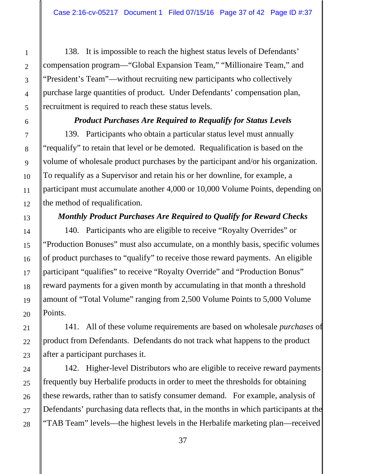138. It is impossible to reach the highest status levels of Defendants' compensation program—"Global Expansion Team," "Millionaire Team," and "President's Team"—without recruiting new participants who collectively purchase large quantities of product. Under Defendants' compensation plan, recruitment is required to reach these status levels.

### *Product Purchases Are Required to Requalify for Status Levels*

139. Participants who obtain a particular status level must annually "requalify" to retain that level or be demoted. Requalification is based on the volume of wholesale product purchases by the participant and/or his organization. To requalify as a Supervisor and retain his or her downline, for example, a participant must accumulate another 4,000 or 10,000 Volume Points, depending on the method of requalification.

# *Monthly Product Purchases Are Required to Qualify for Reward Checks*

140. Participants who are eligible to receive "Royalty Overrides" or "Production Bonuses" must also accumulate, on a monthly basis, specific volumes of product purchases to "qualify" to receive those reward payments. An eligible participant "qualifies" to receive "Royalty Override" and "Production Bonus" reward payments for a given month by accumulating in that month a threshold amount of "Total Volume" ranging from 2,500 Volume Points to 5,000 Volume Points.

141. All of these volume requirements are based on wholesale *purchases* of product from Defendants. Defendants do not track what happens to the product after a participant purchases it.

142. Higher-level Distributors who are eligible to receive reward payments frequently buy Herbalife products in order to meet the thresholds for obtaining these rewards, rather than to satisfy consumer demand. For example, analysis of Defendants' purchasing data reflects that, in the months in which participants at the "TAB Team" levels—the highest levels in the Herbalife marketing plan—received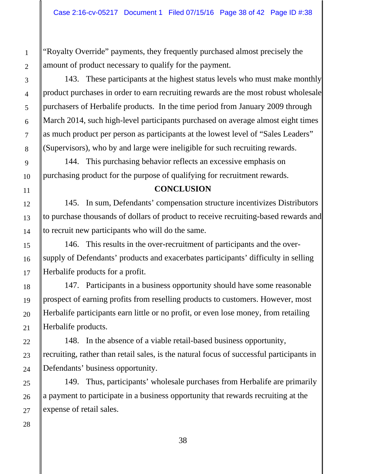"Royalty Override" payments, they frequently purchased almost precisely the amount of product necessary to qualify for the payment.

143. These participants at the highest status levels who must make monthly product purchases in order to earn recruiting rewards are the most robust wholesale purchasers of Herbalife products. In the time period from January 2009 through March 2014, such high-level participants purchased on average almost eight times as much product per person as participants at the lowest level of "Sales Leaders" (Supervisors), who by and large were ineligible for such recruiting rewards.

144. This purchasing behavior reflects an excessive emphasis on purchasing product for the purpose of qualifying for recruitment rewards.

# **CONCLUSION**

145. In sum, Defendants' compensation structure incentivizes Distributors to purchase thousands of dollars of product to receive recruiting-based rewards and to recruit new participants who will do the same.

146. This results in the over-recruitment of participants and the oversupply of Defendants' products and exacerbates participants' difficulty in selling Herbalife products for a profit.

147. Participants in a business opportunity should have some reasonable prospect of earning profits from reselling products to customers. However, most Herbalife participants earn little or no profit, or even lose money, from retailing Herbalife products.

148. In the absence of a viable retail-based business opportunity, recruiting, rather than retail sales, is the natural focus of successful participants in Defendants' business opportunity.

149. Thus, participants' wholesale purchases from Herbalife are primarily a payment to participate in a business opportunity that rewards recruiting at the expense of retail sales.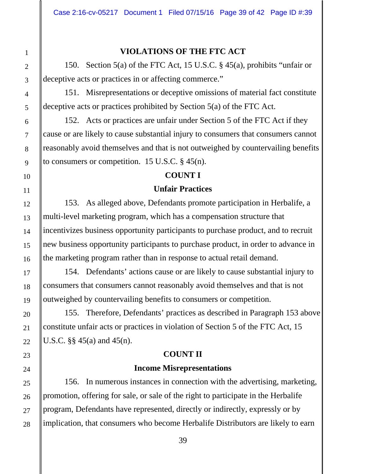# **VIOLATIONS OF THE FTC ACT**

150. Section 5(a) of the FTC Act, 15 U.S.C. § 45(a), prohibits "unfair or deceptive acts or practices in or affecting commerce."

151. Misrepresentations or deceptive omissions of material fact constitute deceptive acts or practices prohibited by Section 5(a) of the FTC Act.

152. Acts or practices are unfair under Section 5 of the FTC Act if they cause or are likely to cause substantial injury to consumers that consumers cannot reasonably avoid themselves and that is not outweighed by countervailing benefits to consumers or competition. 15 U.S.C. § 45(n).

#### **COUNT I**

#### **Unfair Practices**

153. As alleged above, Defendants promote participation in Herbalife, a multi-level marketing program, which has a compensation structure that incentivizes business opportunity participants to purchase product, and to recruit new business opportunity participants to purchase product, in order to advance in the marketing program rather than in response to actual retail demand.

154. Defendants' actions cause or are likely to cause substantial injury to consumers that consumers cannot reasonably avoid themselves and that is not outweighed by countervailing benefits to consumers or competition.

155. Therefore, Defendants' practices as described in Paragraph 153 above constitute unfair acts or practices in violation of Section 5 of the FTC Act, 15 U.S.C. §§ 45(a) and 45(n).

## **COUNT II**

#### **Income Misrepresentations**

156. In numerous instances in connection with the advertising, marketing, promotion, offering for sale, or sale of the right to participate in the Herbalife program, Defendants have represented, directly or indirectly, expressly or by implication, that consumers who become Herbalife Distributors are likely to earn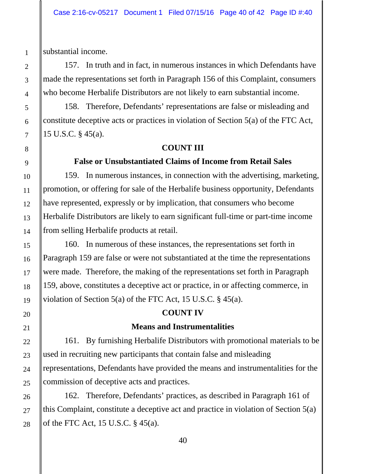substantial income.

157. In truth and in fact, in numerous instances in which Defendants have made the representations set forth in Paragraph 156 of this Complaint, consumers who become Herbalife Distributors are not likely to earn substantial income.

158. Therefore, Defendants' representations are false or misleading and constitute deceptive acts or practices in violation of Section 5(a) of the FTC Act, 15 U.S.C. § 45(a).

### **COUNT III**

#### **False or Unsubstantiated Claims of Income from Retail Sales**

159. In numerous instances, in connection with the advertising, marketing, promotion, or offering for sale of the Herbalife business opportunity, Defendants have represented, expressly or by implication, that consumers who become Herbalife Distributors are likely to earn significant full-time or part-time income from selling Herbalife products at retail.

160. In numerous of these instances, the representations set forth in Paragraph 159 are false or were not substantiated at the time the representations were made. Therefore, the making of the representations set forth in Paragraph 159, above, constitutes a deceptive act or practice, in or affecting commerce, in violation of Section 5(a) of the FTC Act, 15 U.S.C. § 45(a).

### **COUNT IV**

#### **Means and Instrumentalities**

161. By furnishing Herbalife Distributors with promotional materials to be used in recruiting new participants that contain false and misleading representations, Defendants have provided the means and instrumentalities for the commission of deceptive acts and practices.

162. Therefore, Defendants' practices, as described in Paragraph 161 of this Complaint, constitute a deceptive act and practice in violation of Section 5(a) of the FTC Act, 15 U.S.C. § 45(a).

28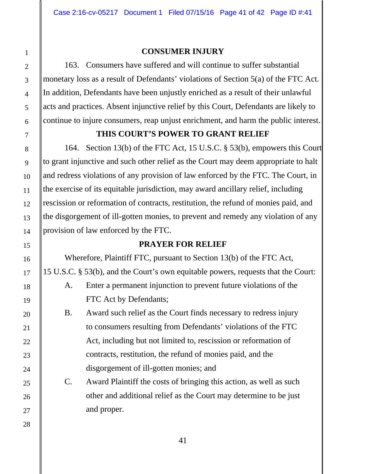# **CONSUMER INJURY**

163. Consumers have suffered and will continue to suffer substantial monetary loss as a result of Defendants' violations of Section 5(a) of the FTC Act. In addition, Defendants have been unjustly enriched as a result of their unlawful acts and practices. Absent injunctive relief by this Court, Defendants are likely to continue to injure consumers, reap unjust enrichment, and harm the public interest.

# **THIS COURT'S POWER TO GRANT RELIEF**

164. Section 13(b) of the FTC Act, 15 U.S.C. § 53(b), empowers this Court to grant injunctive and such other relief as the Court may deem appropriate to halt and redress violations of any provision of law enforced by the FTC. The Court, in the exercise of its equitable jurisdiction, may award ancillary relief, including rescission or reformation of contracts, restitution, the refund of monies paid, and the disgorgement of ill-gotten monies, to prevent and remedy any violation of any provision of law enforced by the FTC.

# **PRAYER FOR RELIEF**

 Wherefore, Plaintiff FTC, pursuant to Section 13(b) of the FTC Act, 15 U.S.C. § 53(b), and the Court's own equitable powers, requests that the Court: A. Enter a permanent injunction to prevent future violations of the

FTC Act by Defendants;

- B. Award such relief as the Court finds necessary to redress injury to consumers resulting from Defendants' violations of the FTC Act, including but not limited to, rescission or reformation of contracts, restitution, the refund of monies paid, and the disgorgement of ill-gotten monies; and
- C. Award Plaintiff the costs of bringing this action, as well as such other and additional relief as the Court may determine to be just and proper.